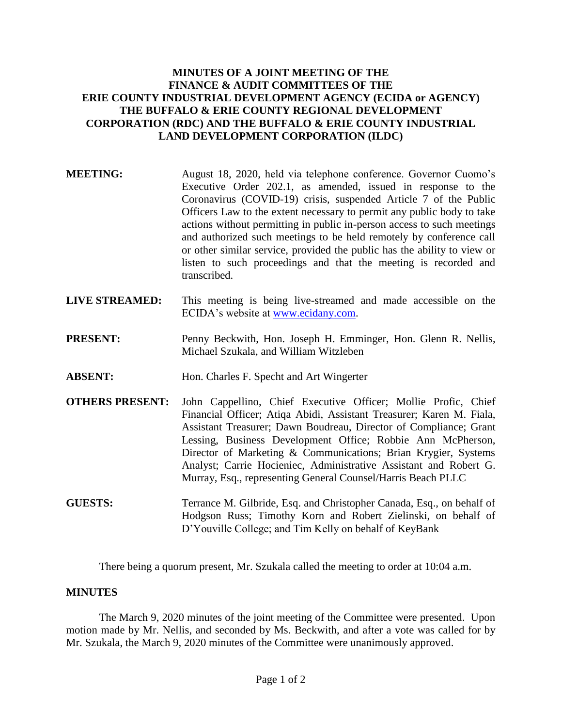# **MINUTES OF A JOINT MEETING OF THE FINANCE & AUDIT COMMITTEES OF THE ERIE COUNTY INDUSTRIAL DEVELOPMENT AGENCY (ECIDA or AGENCY) THE BUFFALO & ERIE COUNTY REGIONAL DEVELOPMENT CORPORATION (RDC) AND THE BUFFALO & ERIE COUNTY INDUSTRIAL LAND DEVELOPMENT CORPORATION (ILDC)**

- **MEETING:** August 18, 2020, held via telephone conference. Governor Cuomo's Executive Order 202.1, as amended, issued in response to the Coronavirus (COVID-19) crisis, suspended Article 7 of the Public Officers Law to the extent necessary to permit any public body to take actions without permitting in public in-person access to such meetings and authorized such meetings to be held remotely by conference call or other similar service, provided the public has the ability to view or listen to such proceedings and that the meeting is recorded and transcribed.
- **LIVE STREAMED:** This meeting is being live-streamed and made accessible on the ECIDA's website at [www.ecidany.com.](http://www.ecidany.com/)
- **PRESENT:** Penny Beckwith, Hon. Joseph H. Emminger, Hon. Glenn R. Nellis, Michael Szukala, and William Witzleben
- **ABSENT:** Hon. Charles F. Specht and Art Wingerter
- **OTHERS PRESENT:** John Cappellino, Chief Executive Officer; Mollie Profic, Chief Financial Officer; Atiqa Abidi, Assistant Treasurer; Karen M. Fiala, Assistant Treasurer; Dawn Boudreau, Director of Compliance; Grant Lessing, Business Development Office; Robbie Ann McPherson, Director of Marketing & Communications; Brian Krygier, Systems Analyst; Carrie Hocieniec, Administrative Assistant and Robert G. Murray, Esq., representing General Counsel/Harris Beach PLLC
- **GUESTS:** Terrance M. Gilbride, Esq. and Christopher Canada, Esq., on behalf of Hodgson Russ; Timothy Korn and Robert Zielinski, on behalf of D'Youville College; and Tim Kelly on behalf of KeyBank

There being a quorum present, Mr. Szukala called the meeting to order at 10:04 a.m.

### **MINUTES**

The March 9, 2020 minutes of the joint meeting of the Committee were presented. Upon motion made by Mr. Nellis, and seconded by Ms. Beckwith, and after a vote was called for by Mr. Szukala, the March 9, 2020 minutes of the Committee were unanimously approved.